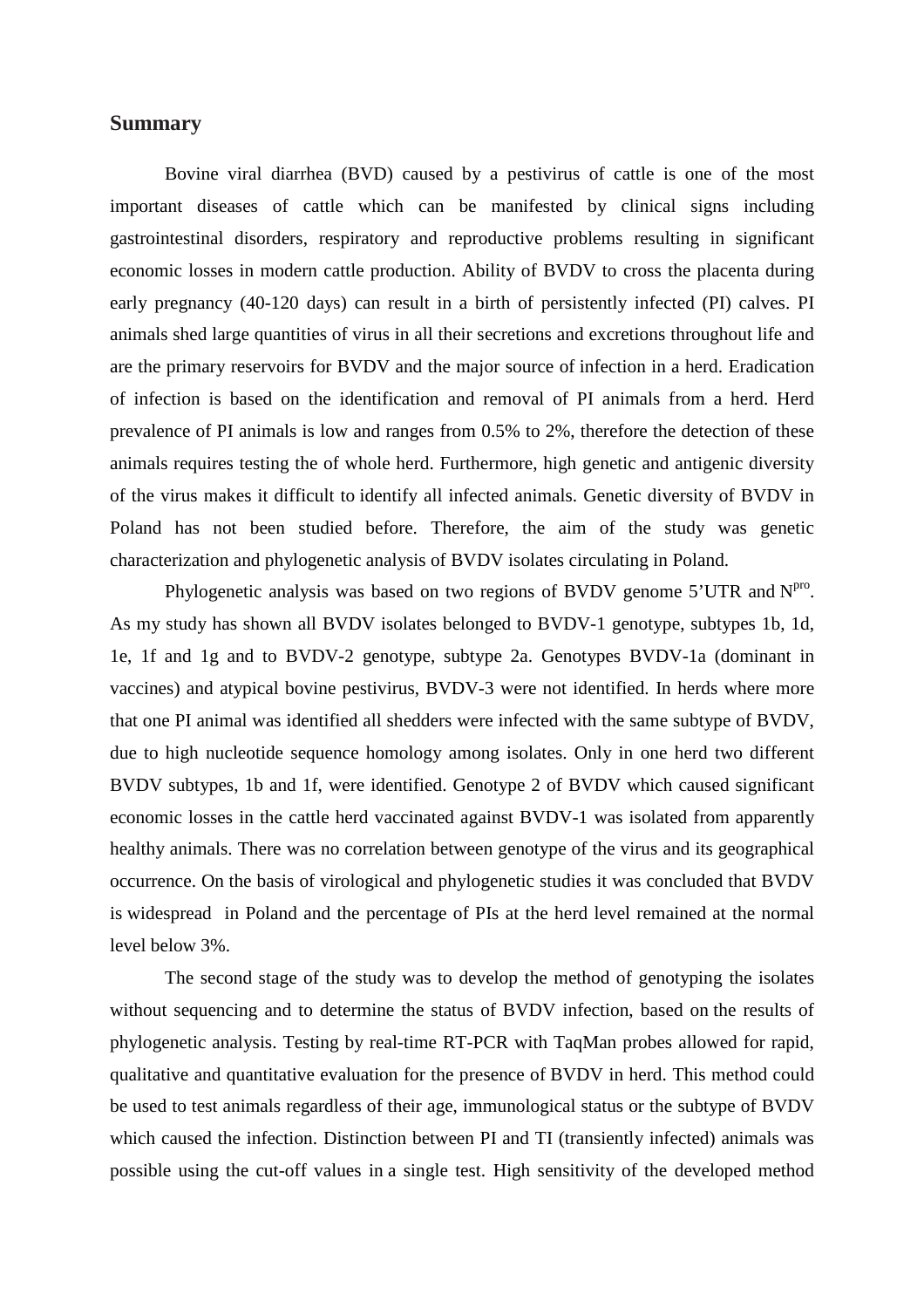## **Summary**

 Bovine viral diarrhea (BVD) caused by a pestivirus of cattle is one of the most important diseases of cattle which can be manifested by clinical signs including gastrointestinal disorders, respiratory and reproductive problems resulting in significant economic losses in modern cattle production. Ability of BVDV to cross the placenta during early pregnancy (40-120 days) can result in a birth of persistently infected (PI) calves. PI animals shed large quantities of virus in all their secretions and excretions throughout life and are the primary reservoirs for BVDV and the major source of infection in a herd. Eradication of infection is based on the identification and removal of PI animals from a herd. Herd prevalence of PI animals is low and ranges from 0.5% to 2%, therefore the detection of these animals requires testing the of whole herd. Furthermore, high genetic and antigenic diversity of the virus makes it difficult to identify all infected animals. Genetic diversity of BVDV in Poland has not been studied before. Therefore, the aim of the study was genetic characterization and phylogenetic analysis of BVDV isolates circulating in Poland.

Phylogenetic analysis was based on two regions of BVDV genome  $5'UTR$  and  $N<sup>pro</sup>$ . As my study has shown all BVDV isolates belonged to BVDV-1 genotype, subtypes 1b, 1d, 1e, 1f and 1g and to BVDV-2 genotype, subtype 2a. Genotypes BVDV-1a (dominant in vaccines) and atypical bovine pestivirus, BVDV-3 were not identified. In herds where more that one PI animal was identified all shedders were infected with the same subtype of BVDV, due to high nucleotide sequence homology among isolates. Only in one herd two different BVDV subtypes, 1b and 1f, were identified. Genotype 2 of BVDV which caused significant economic losses in the cattle herd vaccinated against BVDV-1 was isolated from apparently healthy animals. There was no correlation between genotype of the virus and its geographical occurrence. On the basis of virological and phylogenetic studies it was concluded that BVDV is widespread in Poland and the percentage of PIs at the herd level remained at the normal level below 3%.

 The second stage of the study was to develop the method of genotyping the isolates without sequencing and to determine the status of BVDV infection, based on the results of phylogenetic analysis. Testing by real-time RT-PCR with TaqMan probes allowed for rapid, qualitative and quantitative evaluation for the presence of BVDV in herd. This method could be used to test animals regardless of their age, immunological status or the subtype of BVDV which caused the infection. Distinction between PI and TI (transiently infected) animals was possible using the cut-off values in a single test. High sensitivity of the developed method